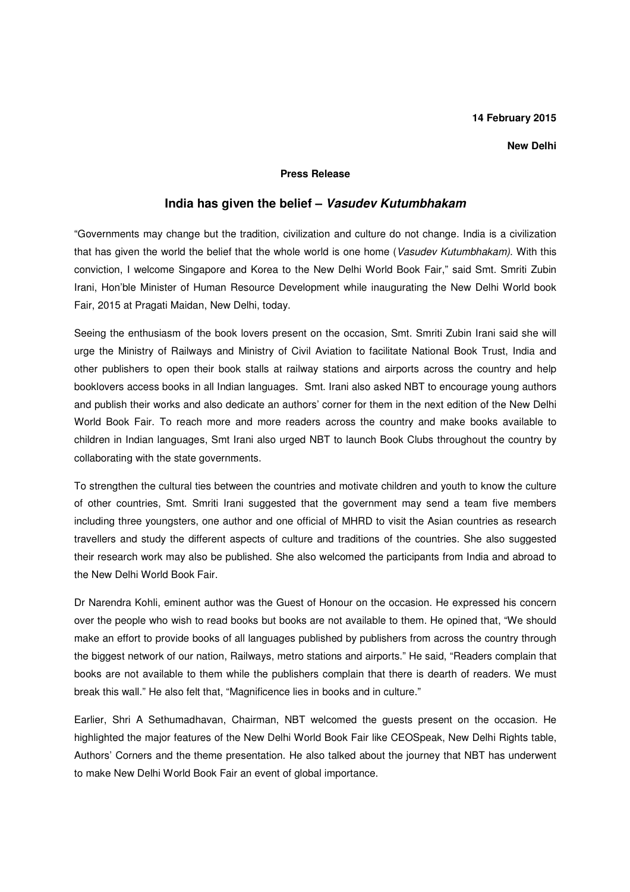### **14 February 2015**

### **New Delhi**

### **Press Release**

# **India has given the belief – Vasudev Kutumbhakam**

"Governments may change but the tradition, civilization and culture do not change. India is a civilization that has given the world the belief that the whole world is one home (Vasudev Kutumbhakam). With this conviction, I welcome Singapore and Korea to the New Delhi World Book Fair," said Smt. Smriti Zubin Irani, Hon'ble Minister of Human Resource Development while inaugurating the New Delhi World book Fair, 2015 at Pragati Maidan, New Delhi, today.

Seeing the enthusiasm of the book lovers present on the occasion, Smt. Smriti Zubin Irani said she will urge the Ministry of Railways and Ministry of Civil Aviation to facilitate National Book Trust, India and other publishers to open their book stalls at railway stations and airports across the country and help booklovers access books in all Indian languages. Smt. Irani also asked NBT to encourage young authors and publish their works and also dedicate an authors' corner for them in the next edition of the New Delhi World Book Fair. To reach more and more readers across the country and make books available to children in Indian languages, Smt Irani also urged NBT to launch Book Clubs throughout the country by collaborating with the state governments.

To strengthen the cultural ties between the countries and motivate children and youth to know the culture of other countries, Smt. Smriti Irani suggested that the government may send a team five members including three youngsters, one author and one official of MHRD to visit the Asian countries as research travellers and study the different aspects of culture and traditions of the countries. She also suggested their research work may also be published. She also welcomed the participants from India and abroad to the New Delhi World Book Fair.

Dr Narendra Kohli, eminent author was the Guest of Honour on the occasion. He expressed his concern over the people who wish to read books but books are not available to them. He opined that, "We should make an effort to provide books of all languages published by publishers from across the country through the biggest network of our nation, Railways, metro stations and airports." He said, "Readers complain that books are not available to them while the publishers complain that there is dearth of readers. We must break this wall." He also felt that, "Magnificence lies in books and in culture."

Earlier, Shri A Sethumadhavan, Chairman, NBT welcomed the guests present on the occasion. He highlighted the major features of the New Delhi World Book Fair like CEOSpeak, New Delhi Rights table, Authors' Corners and the theme presentation. He also talked about the journey that NBT has underwent to make New Delhi World Book Fair an event of global importance.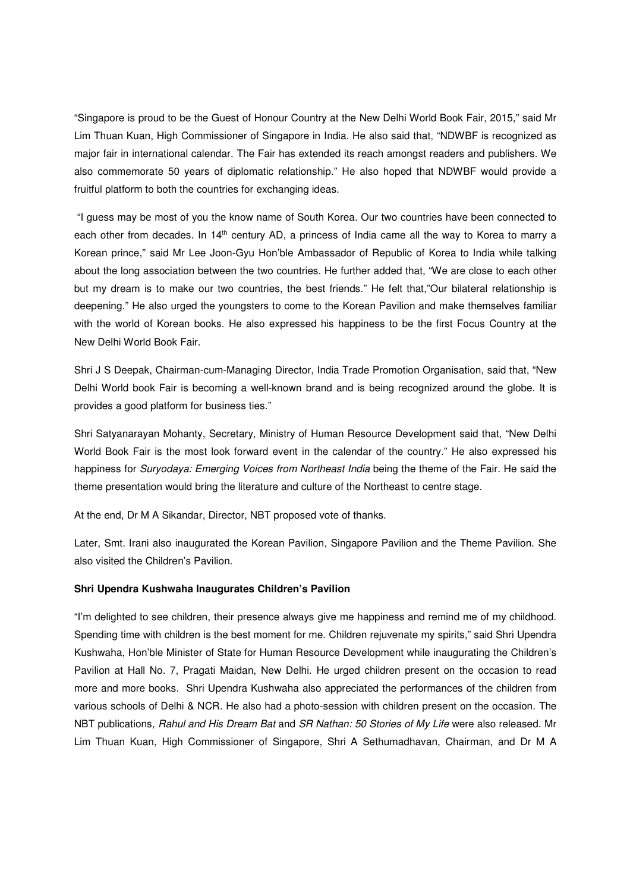"Singapore is proud to be the Guest of Honour Country at the New Delhi World Book Fair, 2015," said Mr Lim Thuan Kuan, High Commissioner of Singapore in India. He also said that, "NDWBF is recognized as major fair in international calendar. The Fair has extended its reach amongst readers and publishers. We also commemorate 50 years of diplomatic relationship." He also hoped that NDWBF would provide a fruitful platform to both the countries for exchanging ideas.

 "I guess may be most of you the know name of South Korea. Our two countries have been connected to each other from decades. In 14<sup>th</sup> century AD, a princess of India came all the way to Korea to marry a Korean prince," said Mr Lee Joon-Gyu Hon'ble Ambassador of Republic of Korea to India while talking about the long association between the two countries. He further added that, "We are close to each other but my dream is to make our two countries, the best friends." He felt that,"Our bilateral relationship is deepening." He also urged the youngsters to come to the Korean Pavilion and make themselves familiar with the world of Korean books. He also expressed his happiness to be the first Focus Country at the New Delhi World Book Fair.

Shri J S Deepak, Chairman-cum-Managing Director, India Trade Promotion Organisation, said that, "New Delhi World book Fair is becoming a well-known brand and is being recognized around the globe. It is provides a good platform for business ties."

Shri Satyanarayan Mohanty, Secretary, Ministry of Human Resource Development said that, "New Delhi World Book Fair is the most look forward event in the calendar of the country." He also expressed his happiness for Suryodaya: Emerging Voices from Northeast India being the theme of the Fair. He said the theme presentation would bring the literature and culture of the Northeast to centre stage.

At the end, Dr M A Sikandar, Director, NBT proposed vote of thanks.

Later, Smt. Irani also inaugurated the Korean Pavilion, Singapore Pavilion and the Theme Pavilion. She also visited the Children's Pavilion.

## **Shri Upendra Kushwaha Inaugurates Children's Pavilion**

"I'm delighted to see children, their presence always give me happiness and remind me of my childhood. Spending time with children is the best moment for me. Children rejuvenate my spirits," said Shri Upendra Kushwaha, Hon'ble Minister of State for Human Resource Development while inaugurating the Children's Pavilion at Hall No. 7, Pragati Maidan, New Delhi. He urged children present on the occasion to read more and more books. Shri Upendra Kushwaha also appreciated the performances of the children from various schools of Delhi & NCR. He also had a photo-session with children present on the occasion. The NBT publications, Rahul and His Dream Bat and SR Nathan: 50 Stories of My Life were also released. Mr Lim Thuan Kuan, High Commissioner of Singapore, Shri A Sethumadhavan, Chairman, and Dr M A